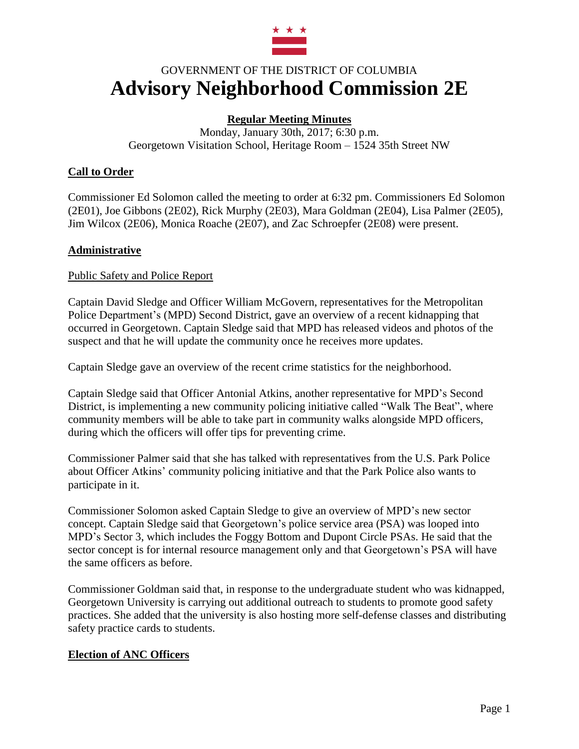

# GOVERNMENT OF THE DISTRICT OF COLUMBIA **Advisory Neighborhood Commission 2E**

## **Regular Meeting Minutes**

Monday, January 30th, 2017; 6:30 p.m. Georgetown Visitation School, Heritage Room – 1524 35th Street NW

## **Call to Order**

Commissioner Ed Solomon called the meeting to order at 6:32 pm. Commissioners Ed Solomon (2E01), Joe Gibbons (2E02), Rick Murphy (2E03), Mara Goldman (2E04), Lisa Palmer (2E05), Jim Wilcox (2E06), Monica Roache (2E07), and Zac Schroepfer (2E08) were present.

#### **Administrative**

#### Public Safety and Police Report

Captain David Sledge and Officer William McGovern, representatives for the Metropolitan Police Department's (MPD) Second District, gave an overview of a recent kidnapping that occurred in Georgetown. Captain Sledge said that MPD has released videos and photos of the suspect and that he will update the community once he receives more updates.

Captain Sledge gave an overview of the recent crime statistics for the neighborhood.

Captain Sledge said that Officer Antonial Atkins, another representative for MPD's Second District, is implementing a new community policing initiative called "Walk The Beat", where community members will be able to take part in community walks alongside MPD officers, during which the officers will offer tips for preventing crime.

Commissioner Palmer said that she has talked with representatives from the U.S. Park Police about Officer Atkins' community policing initiative and that the Park Police also wants to participate in it.

Commissioner Solomon asked Captain Sledge to give an overview of MPD's new sector concept. Captain Sledge said that Georgetown's police service area (PSA) was looped into MPD's Sector 3, which includes the Foggy Bottom and Dupont Circle PSAs. He said that the sector concept is for internal resource management only and that Georgetown's PSA will have the same officers as before.

Commissioner Goldman said that, in response to the undergraduate student who was kidnapped, Georgetown University is carrying out additional outreach to students to promote good safety practices. She added that the university is also hosting more self-defense classes and distributing safety practice cards to students.

## **Election of ANC Officers**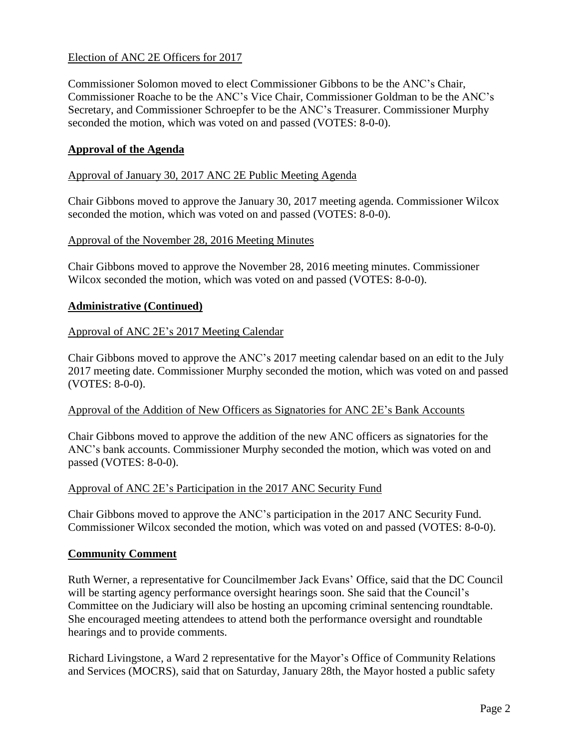## Election of ANC 2E Officers for 2017

Commissioner Solomon moved to elect Commissioner Gibbons to be the ANC's Chair, Commissioner Roache to be the ANC's Vice Chair, Commissioner Goldman to be the ANC's Secretary, and Commissioner Schroepfer to be the ANC's Treasurer. Commissioner Murphy seconded the motion, which was voted on and passed (VOTES: 8-0-0).

#### **Approval of the Agenda**

#### Approval of January 30, 2017 ANC 2E Public Meeting Agenda

Chair Gibbons moved to approve the January 30, 2017 meeting agenda. Commissioner Wilcox seconded the motion, which was voted on and passed (VOTES: 8-0-0).

#### Approval of the November 28, 2016 Meeting Minutes

Chair Gibbons moved to approve the November 28, 2016 meeting minutes. Commissioner Wilcox seconded the motion, which was voted on and passed (VOTES: 8-0-0).

#### **Administrative (Continued)**

#### Approval of ANC 2E's 2017 Meeting Calendar

Chair Gibbons moved to approve the ANC's 2017 meeting calendar based on an edit to the July 2017 meeting date. Commissioner Murphy seconded the motion, which was voted on and passed (VOTES: 8-0-0).

#### Approval of the Addition of New Officers as Signatories for ANC 2E's Bank Accounts

Chair Gibbons moved to approve the addition of the new ANC officers as signatories for the ANC's bank accounts. Commissioner Murphy seconded the motion, which was voted on and passed (VOTES: 8-0-0).

#### Approval of ANC 2E's Participation in the 2017 ANC Security Fund

Chair Gibbons moved to approve the ANC's participation in the 2017 ANC Security Fund. Commissioner Wilcox seconded the motion, which was voted on and passed (VOTES: 8-0-0).

#### **Community Comment**

Ruth Werner, a representative for Councilmember Jack Evans' Office, said that the DC Council will be starting agency performance oversight hearings soon. She said that the Council's Committee on the Judiciary will also be hosting an upcoming criminal sentencing roundtable. She encouraged meeting attendees to attend both the performance oversight and roundtable hearings and to provide comments.

Richard Livingstone, a Ward 2 representative for the Mayor's Office of Community Relations and Services (MOCRS), said that on Saturday, January 28th, the Mayor hosted a public safety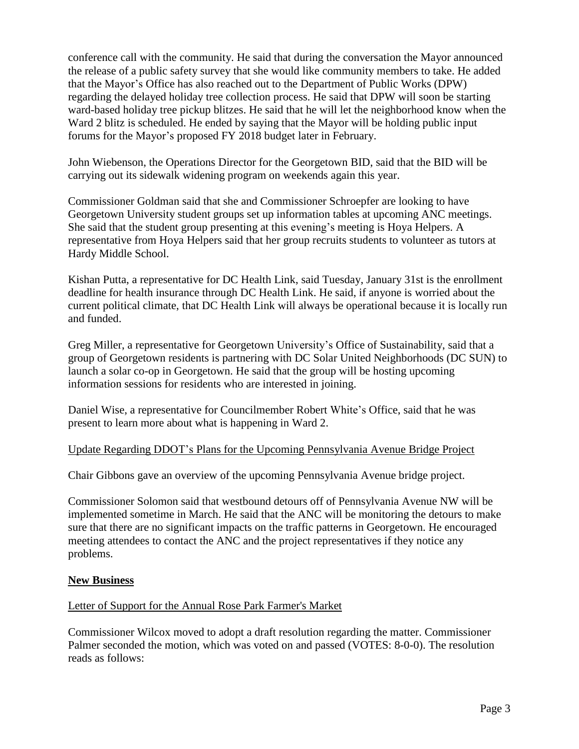conference call with the community. He said that during the conversation the Mayor announced the release of a public safety survey that she would like community members to take. He added that the Mayor's Office has also reached out to the Department of Public Works (DPW) regarding the delayed holiday tree collection process. He said that DPW will soon be starting ward-based holiday tree pickup blitzes. He said that he will let the neighborhood know when the Ward 2 blitz is scheduled. He ended by saying that the Mayor will be holding public input forums for the Mayor's proposed FY 2018 budget later in February.

John Wiebenson, the Operations Director for the Georgetown BID, said that the BID will be carrying out its sidewalk widening program on weekends again this year.

Commissioner Goldman said that she and Commissioner Schroepfer are looking to have Georgetown University student groups set up information tables at upcoming ANC meetings. She said that the student group presenting at this evening's meeting is Hoya Helpers. A representative from Hoya Helpers said that her group recruits students to volunteer as tutors at Hardy Middle School.

Kishan Putta, a representative for DC Health Link, said Tuesday, January 31st is the enrollment deadline for health insurance through DC Health Link. He said, if anyone is worried about the current political climate, that DC Health Link will always be operational because it is locally run and funded.

Greg Miller, a representative for Georgetown University's Office of Sustainability, said that a group of Georgetown residents is partnering with DC Solar United Neighborhoods (DC SUN) to launch a solar co-op in Georgetown. He said that the group will be hosting upcoming information sessions for residents who are interested in joining.

Daniel Wise, a representative for Councilmember Robert White's Office, said that he was present to learn more about what is happening in Ward 2.

## Update Regarding DDOT's Plans for the Upcoming Pennsylvania Avenue Bridge Project

Chair Gibbons gave an overview of the upcoming Pennsylvania Avenue bridge project.

Commissioner Solomon said that westbound detours off of Pennsylvania Avenue NW will be implemented sometime in March. He said that the ANC will be monitoring the detours to make sure that there are no significant impacts on the traffic patterns in Georgetown. He encouraged meeting attendees to contact the ANC and the project representatives if they notice any problems.

#### **New Business**

#### Letter of Support for the Annual Rose Park Farmer's Market

Commissioner Wilcox moved to adopt a draft resolution regarding the matter. Commissioner Palmer seconded the motion, which was voted on and passed (VOTES: 8-0-0). The resolution reads as follows: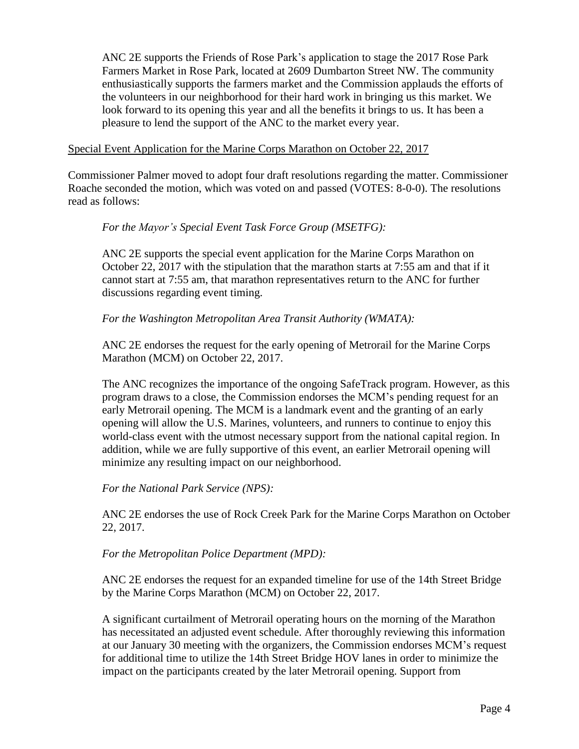ANC 2E supports the Friends of Rose Park's application to stage the 2017 Rose Park Farmers Market in Rose Park, located at 2609 Dumbarton Street NW. The community enthusiastically supports the farmers market and the Commission applauds the efforts of the volunteers in our neighborhood for their hard work in bringing us this market. We look forward to its opening this year and all the benefits it brings to us. It has been a pleasure to lend the support of the ANC to the market every year.

#### Special Event Application for the Marine Corps Marathon on October 22, 2017

Commissioner Palmer moved to adopt four draft resolutions regarding the matter. Commissioner Roache seconded the motion, which was voted on and passed (VOTES: 8-0-0). The resolutions read as follows:

#### *For the Mayor's Special Event Task Force Group (MSETFG):*

ANC 2E supports the special event application for the Marine Corps Marathon on October 22, 2017 with the stipulation that the marathon starts at 7:55 am and that if it cannot start at 7:55 am, that marathon representatives return to the ANC for further discussions regarding event timing.

## *For the Washington Metropolitan Area Transit Authority (WMATA):*

ANC 2E endorses the request for the early opening of Metrorail for the Marine Corps Marathon (MCM) on October 22, 2017.

The ANC recognizes the importance of the ongoing SafeTrack program. However, as this program draws to a close, the Commission endorses the MCM's pending request for an early Metrorail opening. The MCM is a landmark event and the granting of an early opening will allow the U.S. Marines, volunteers, and runners to continue to enjoy this world-class event with the utmost necessary support from the national capital region. In addition, while we are fully supportive of this event, an earlier Metrorail opening will minimize any resulting impact on our neighborhood.

#### *For the National Park Service (NPS):*

ANC 2E endorses the use of Rock Creek Park for the Marine Corps Marathon on October 22, 2017.

#### *For the Metropolitan Police Department (MPD):*

ANC 2E endorses the request for an expanded timeline for use of the 14th Street Bridge by the Marine Corps Marathon (MCM) on October 22, 2017.

A significant curtailment of Metrorail operating hours on the morning of the Marathon has necessitated an adjusted event schedule. After thoroughly reviewing this information at our January 30 meeting with the organizers, the Commission endorses MCM's request for additional time to utilize the 14th Street Bridge HOV lanes in order to minimize the impact on the participants created by the later Metrorail opening. Support from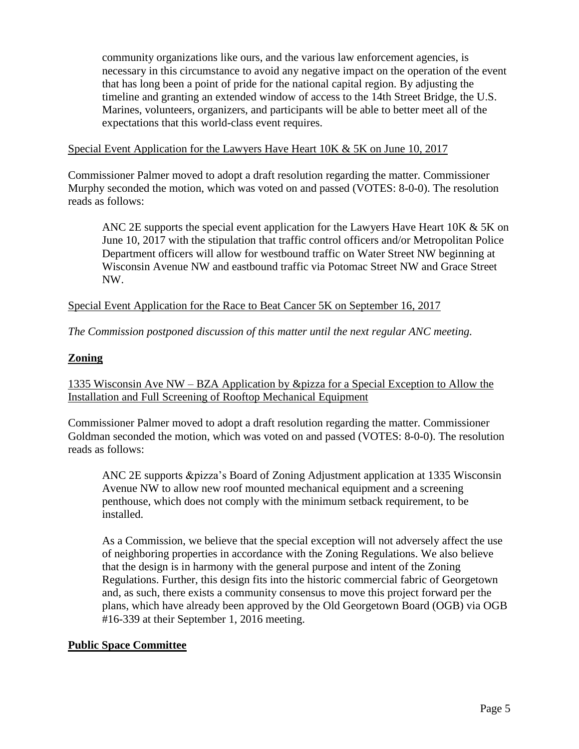community organizations like ours, and the various law enforcement agencies, is necessary in this circumstance to avoid any negative impact on the operation of the event that has long been a point of pride for the national capital region. By adjusting the timeline and granting an extended window of access to the 14th Street Bridge, the U.S. Marines, volunteers, organizers, and participants will be able to better meet all of the expectations that this world-class event requires.

#### Special Event Application for the Lawyers Have Heart 10K & 5K on June 10, 2017

Commissioner Palmer moved to adopt a draft resolution regarding the matter. Commissioner Murphy seconded the motion, which was voted on and passed (VOTES: 8-0-0). The resolution reads as follows:

ANC 2E supports the special event application for the Lawyers Have Heart 10K  $\&$  5K on June 10, 2017 with the stipulation that traffic control officers and/or Metropolitan Police Department officers will allow for westbound traffic on Water Street NW beginning at Wisconsin Avenue NW and eastbound traffic via Potomac Street NW and Grace Street NW.

Special Event Application for the Race to Beat Cancer 5K on September 16, 2017

*The Commission postponed discussion of this matter until the next regular ANC meeting.*

#### **Zoning**

1335 Wisconsin Ave NW – BZA Application by &pizza for a Special Exception to Allow the Installation and Full Screening of Rooftop Mechanical Equipment

Commissioner Palmer moved to adopt a draft resolution regarding the matter. Commissioner Goldman seconded the motion, which was voted on and passed (VOTES: 8-0-0). The resolution reads as follows:

ANC 2E supports &pizza's Board of Zoning Adjustment application at 1335 Wisconsin Avenue NW to allow new roof mounted mechanical equipment and a screening penthouse, which does not comply with the minimum setback requirement, to be installed.

As a Commission, we believe that the special exception will not adversely affect the use of neighboring properties in accordance with the Zoning Regulations. We also believe that the design is in harmony with the general purpose and intent of the Zoning Regulations. Further, this design fits into the historic commercial fabric of Georgetown and, as such, there exists a community consensus to move this project forward per the plans, which have already been approved by the Old Georgetown Board (OGB) via OGB #16-339 at their September 1, 2016 meeting.

#### **Public Space Committee**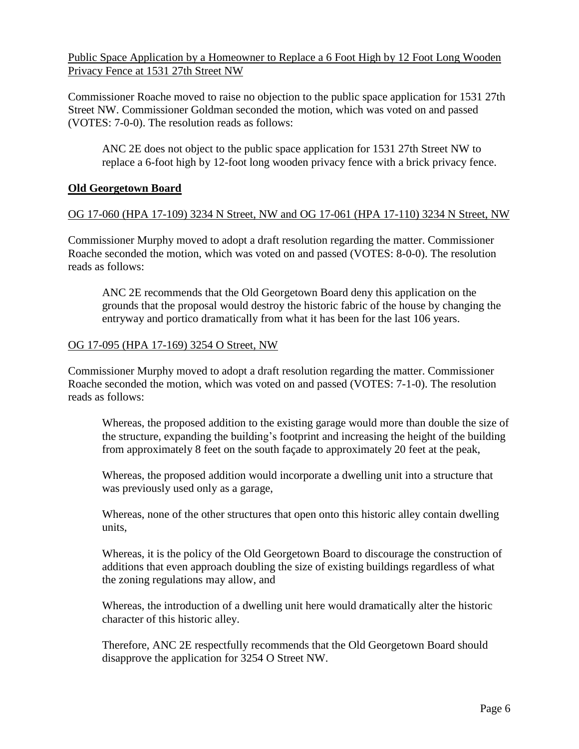Public Space Application by a Homeowner to Replace a 6 Foot High by 12 Foot Long Wooden Privacy Fence at 1531 27th Street NW

Commissioner Roache moved to raise no objection to the public space application for 1531 27th Street NW. Commissioner Goldman seconded the motion, which was voted on and passed (VOTES: 7-0-0). The resolution reads as follows:

ANC 2E does not object to the public space application for 1531 27th Street NW to replace a 6-foot high by 12-foot long wooden privacy fence with a brick privacy fence.

## **Old Georgetown Board**

## OG 17-060 (HPA 17-109) 3234 N Street, NW and OG 17-061 (HPA 17-110) 3234 N Street, NW

Commissioner Murphy moved to adopt a draft resolution regarding the matter. Commissioner Roache seconded the motion, which was voted on and passed (VOTES: 8-0-0). The resolution reads as follows:

ANC 2E recommends that the Old Georgetown Board deny this application on the grounds that the proposal would destroy the historic fabric of the house by changing the entryway and portico dramatically from what it has been for the last 106 years.

#### OG 17-095 (HPA 17-169) 3254 O Street, NW

Commissioner Murphy moved to adopt a draft resolution regarding the matter. Commissioner Roache seconded the motion, which was voted on and passed (VOTES: 7-1-0). The resolution reads as follows:

Whereas, the proposed addition to the existing garage would more than double the size of the structure, expanding the building's footprint and increasing the height of the building from approximately 8 feet on the south façade to approximately 20 feet at the peak,

Whereas, the proposed addition would incorporate a dwelling unit into a structure that was previously used only as a garage,

Whereas, none of the other structures that open onto this historic alley contain dwelling units,

Whereas, it is the policy of the Old Georgetown Board to discourage the construction of additions that even approach doubling the size of existing buildings regardless of what the zoning regulations may allow, and

Whereas, the introduction of a dwelling unit here would dramatically alter the historic character of this historic alley.

Therefore, ANC 2E respectfully recommends that the Old Georgetown Board should disapprove the application for 3254 O Street NW.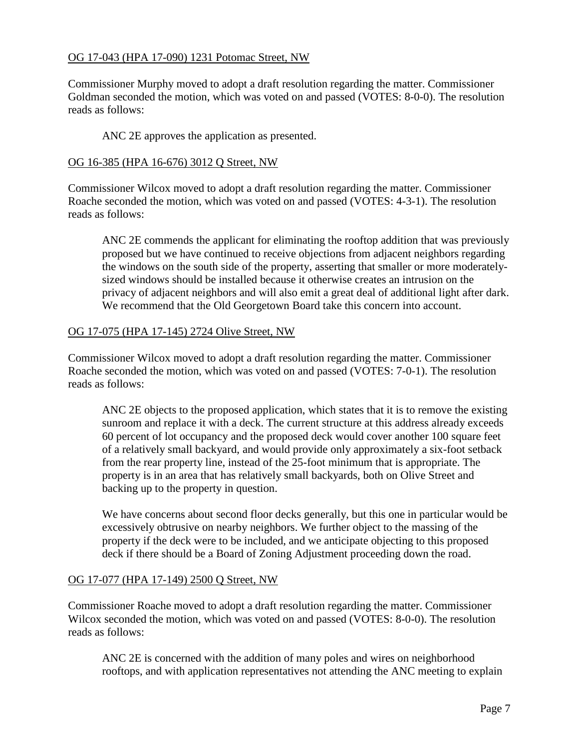## OG 17-043 (HPA 17-090) 1231 Potomac Street, NW

Commissioner Murphy moved to adopt a draft resolution regarding the matter. Commissioner Goldman seconded the motion, which was voted on and passed (VOTES: 8-0-0). The resolution reads as follows:

ANC 2E approves the application as presented.

#### OG 16-385 (HPA 16-676) 3012 Q Street, NW

Commissioner Wilcox moved to adopt a draft resolution regarding the matter. Commissioner Roache seconded the motion, which was voted on and passed (VOTES: 4-3-1). The resolution reads as follows:

ANC 2E commends the applicant for eliminating the rooftop addition that was previously proposed but we have continued to receive objections from adjacent neighbors regarding the windows on the south side of the property, asserting that smaller or more moderatelysized windows should be installed because it otherwise creates an intrusion on the privacy of adjacent neighbors and will also emit a great deal of additional light after dark. We recommend that the Old Georgetown Board take this concern into account.

#### OG 17-075 (HPA 17-145) 2724 Olive Street, NW

Commissioner Wilcox moved to adopt a draft resolution regarding the matter. Commissioner Roache seconded the motion, which was voted on and passed (VOTES: 7-0-1). The resolution reads as follows:

ANC 2E objects to the proposed application, which states that it is to remove the existing sunroom and replace it with a deck. The current structure at this address already exceeds 60 percent of lot occupancy and the proposed deck would cover another 100 square feet of a relatively small backyard, and would provide only approximately a six-foot setback from the rear property line, instead of the 25-foot minimum that is appropriate. The property is in an area that has relatively small backyards, both on Olive Street and backing up to the property in question.

We have concerns about second floor decks generally, but this one in particular would be excessively obtrusive on nearby neighbors. We further object to the massing of the property if the deck were to be included, and we anticipate objecting to this proposed deck if there should be a Board of Zoning Adjustment proceeding down the road.

#### OG 17-077 (HPA 17-149) 2500 Q Street, NW

Commissioner Roache moved to adopt a draft resolution regarding the matter. Commissioner Wilcox seconded the motion, which was voted on and passed (VOTES: 8-0-0). The resolution reads as follows:

ANC 2E is concerned with the addition of many poles and wires on neighborhood rooftops, and with application representatives not attending the ANC meeting to explain